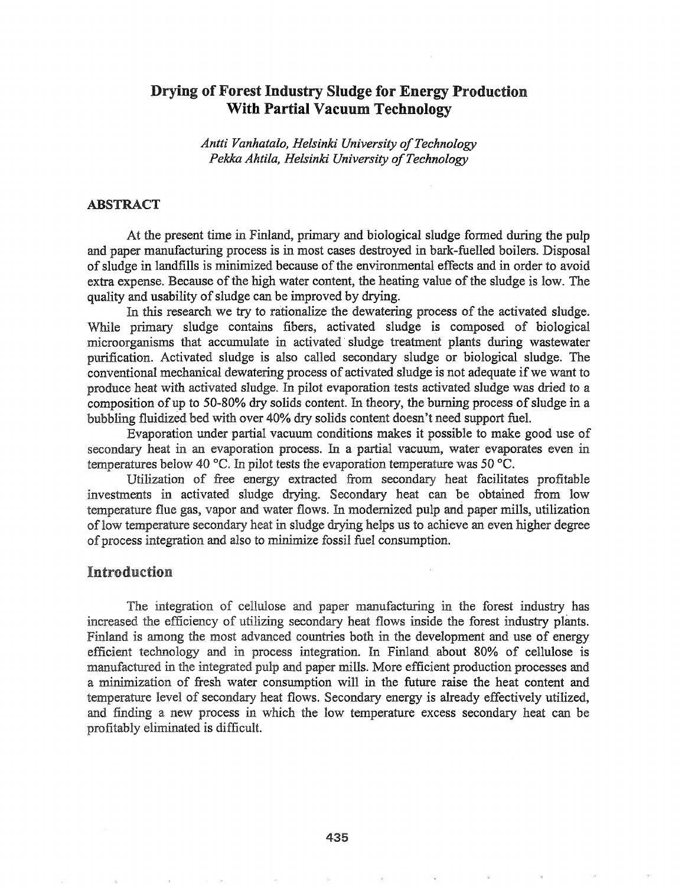# Drying of Forest Industry Sludge for Energy Production With Partial Vacuum Technology

*Antti Vanhatalo, Helsinki University ofTechnology Pekka Ahtila, Helsinki University ofTechnology*

#### ABSTRACT

At the present time in Finland, primary and biological sludge formed during the pulp and paper manufacturing process is in most cases destroyed in bark-fuelled boilers. Disposal ofsludge in landfills is minimized because ofthe environmental effects and in order to avoid extra expense. Because of the high water content, the heating value of the sludge is low. The quality and usability of sludge can be improved by drying.

In this research we try to rationalize the dewatering process of the activated sludge. While primary sludge contains fibers, activated sludge is composed of biological microorganisms that accumulate in activated' sludge treatment plants during wastewater purification. Activated sludge is also called secondary sludge or biological sludge. The conventional mechanical dewatering process of activated sludge is not adequate if we want to produce heat with activated sludge. In pilot evaporation tests activated sludge was dried to a composition of up to 50-80% dry solids content. In theory, the burning process of sludge in a bubbling fluidized bed with over 40% dry solids content doesn't need support fuel.

Evaporation under partial vacuum conditions makes it possible to make good use of secondary heat in an evaporation process. In a partial vacuum, water evaporates even in temperatures below 40 °C. In pilot tests the evaporation temperature was 50 °C.

Utilization of free energy extracted from secondary heat facilitates profitable investments in activated sludge drying. Secondary heat can be obtained from low temperature flue gas, vapor and water flows. In modernized pulp and paper mills, utilization of low temperature secondary heat in sludge drying helps us to achieve an even higher degree of process integration and also to minimize fossil fuel consumption.

### Introduction

The integration of cellulose and paper manufacturing in the forest industry has increased the efficiency of utilizing secondary heat flows inside the forest industry plants. Finland is among the most advanced countries both in the development and use of energy efficient technology and in process integration. In Finland about 80% of cellulose is manufactured in the integrated pulp and paper mills. More efficient production processes and a minimization of fresh water consumption will in the future raise the heat content and temperature level of secondary heat flows. Secondary energy is already effectively utilized, and finding a new process in which the low temperature excess secondary heat can be profitably eliminated is difficult.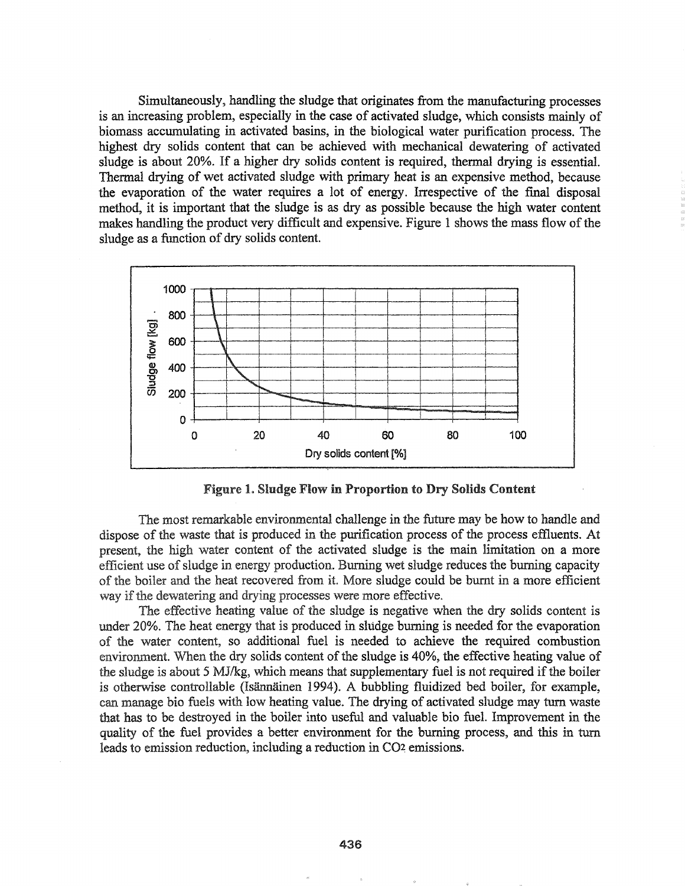Simultaneously, handling the sludge that originates from the manufacturing processes is an increasing problem, especially in the case of activated sludge, which consists mainly of biomass accumulating in activated basins, in the biological water purification process.. The highest dry solids content that can be achieved with mechanical dewatering of activated sludge is about 20%. If a higher dry solids content is required, thermal drying is essential. Thermal drying of wet activated sludge with primary heat is an expensive method, because the evaporation of the water requires a lot of energy.. Irrespective of the final disposal method, it is important that the sludge is as dry as possible because the high water content makes handling the product very difficult and expensive. Figure 1 shows the mass flow of the sludge as a function of dry solids content.



Figure 1. Sludge Flow in Proportion to Dry Solids Content

The most remarkable environmental challenge in the future may be how to handle and dispose of the waste that is produced in the purification process of the process effluents. At present, high water content of the activated sludge is the main limitation on a more efficient use of sludge in energy production. Burning wet sludge reduces the burning capacity of the boiler and the heat recovered from it. More sludge could be burnt in a more efficient way if the dewatering and drying processes were more effective.

The effective heating value of the sludge is negative when the dry solids content is 20%.. The heat energy that is produced in sludge burning is needed for the evaporation water content, so additional fuel is needed to achieve the required combustion environment. When the dry solids content of the sludge is 40%, the effective heating value of the sludge is about 5 MJ/kg, which means that supplementary fuel is not required if the boiler is otherwise controllable (Isännäinen 1994). A bubbling fluidized bed boiler, for example, can manage bio fuels with low heating value. The drying of activated sludge may turn waste that has to be destroyed in the boiler into useful and valuable bio fuel. Improvement in the quality of the fuel provides a better environment for the burning process, and this in turn leads to emission reduction, including a reduction in CO<sub>2</sub> emissions.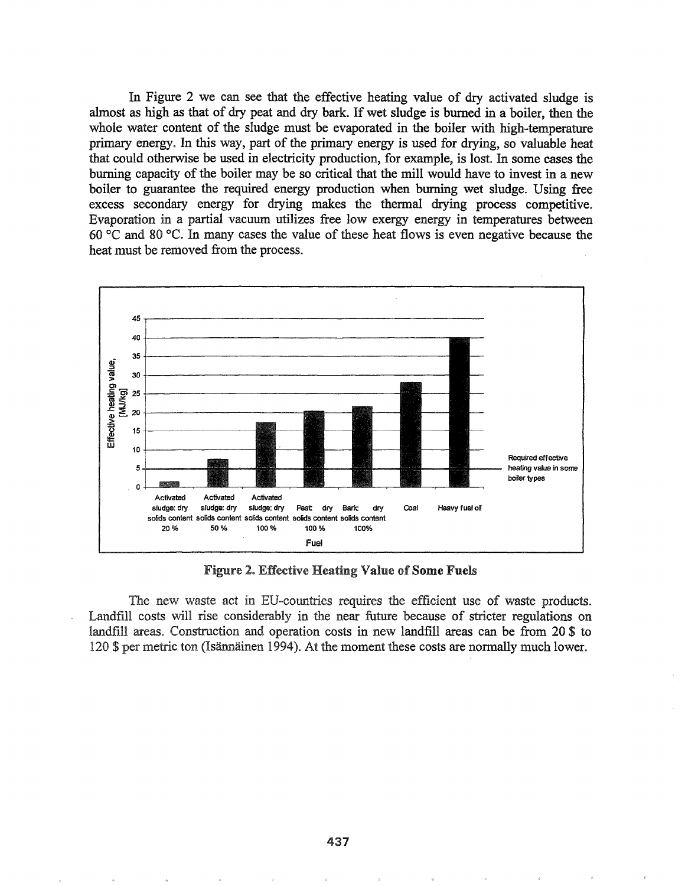In Figure 2 we can see that the effective heating value of dry activated sludge is almost as high as that of dry peat and dry bark. If wet sludge is burned in a boiler, then the whole water content of the sludge must be evaporated in the boiler with high-temperature primary energy. In this way, part of the primary energy is used for drying, so valuable heat that could otherwise be used in electricity production, for example, is lost. In some cases the burning capacity of the boiler may be so critical that the mill would have to invest in a new boiler to guarantee the required energy production when burning wet sludge. Using free excess secondary energy for drying makes the thermal drying process competitive. Evaporation in a partial vacuum utilizes free low exergy energy in temperatures between 60 °C and 80 °C. In many cases the value of these heat flows is even negative because the heat must be removed from the process.



**Figure 2. Effective Heating Value of Some Fuels** 

The new waste act in EU-countries requires the efficient use of waste products. Landfill costs will rise considerably in the near future because of stricter regulations on landfill areas. Construction and operation costs in new landfill areas can be from 20 \$ to 120 \$ per metric ton (Isännäinen 1994). At the moment these costs are normally much lower.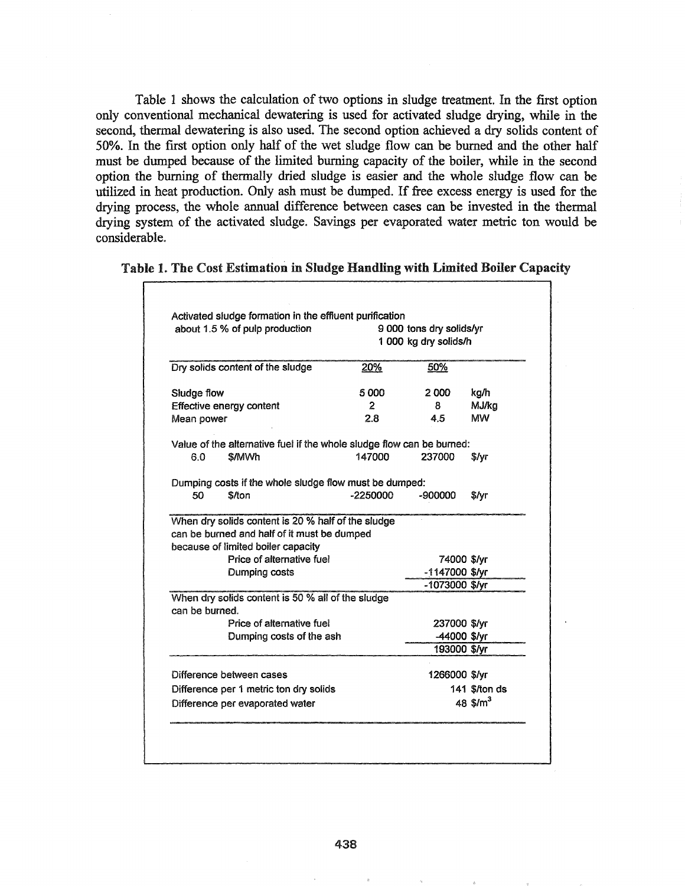Table 1 shows the calculation of two options in sludge treatment. In the first option only conventional mechanical dewatering is used for activated sludge drying, while in the second, thermal dewatering is also used. The second option achieved a dry solids content of 50%. In the first option only half of the wet sludge flow can be burned and the other half must be dumped because of the limited burning capacity of the boiler, while in the second option the burning of thermally dried sludge is easier and the whole sludge flow can be utilized in heat production. Only ash must be dumped. If free excess energy is used for the drying process, the whole annual difference between cases can be invested in the thennal drying system of the activated sludge. Savings per evaporated water metric ton would be considerable.

| Table 1. The Cost Estimation in Sludge Handling with Limited Boiler Capacity |  |  |
|------------------------------------------------------------------------------|--|--|
|------------------------------------------------------------------------------|--|--|

| about 1.5 % of pulp production<br>Dry solids content of the sludge |                                                                       | 9 000 tons dry solids/yr<br>1 000 kg dry solids/h |                                  |                     |
|--------------------------------------------------------------------|-----------------------------------------------------------------------|---------------------------------------------------|----------------------------------|---------------------|
|                                                                    |                                                                       | 20%                                               | 50%                              |                     |
| Sludge flow                                                        |                                                                       | 5000                                              | 2000                             | kg/h                |
| Effective energy content                                           |                                                                       | $\overline{2}$                                    | 8                                | MJ/ka               |
| Mean power                                                         |                                                                       | 2.8                                               | 4.5                              | MW                  |
|                                                                    | Value of the alternative fuel if the whole sludge flow can be burned: |                                                   |                                  |                     |
| 6.0                                                                | \$/MWh                                                                | 147000                                            | 237000                           | \$/yr               |
|                                                                    | Dumping costs if the whole sludge flow must be dumped:                |                                                   |                                  |                     |
| 50                                                                 | \$/ton                                                                | $-2250000$                                        | -900000                          | S/Vr                |
|                                                                    | because of limited boiler capacity<br>Price of alternative fuel       |                                                   | 74000 \$/yr                      |                     |
|                                                                    | Dumping costs                                                         |                                                   | -1147000 \$/yr<br>-1073000 \$/yr |                     |
| can be burned.                                                     | When dry solids content is 50 % all of the sludge                     |                                                   |                                  |                     |
|                                                                    | Price of alternative fuel                                             |                                                   | 237000 \$/yr                     |                     |
|                                                                    | Dumping costs of the ash                                              |                                                   | -44000 \$/yr                     |                     |
|                                                                    |                                                                       |                                                   | 193000 \$/yr                     |                     |
|                                                                    |                                                                       |                                                   | 1266000 \$/yr                    |                     |
|                                                                    |                                                                       |                                                   |                                  |                     |
| Difference between cases                                           | Difference per 1 metric ton dry solids                                |                                                   |                                  | 141 <i>S/ton ds</i> |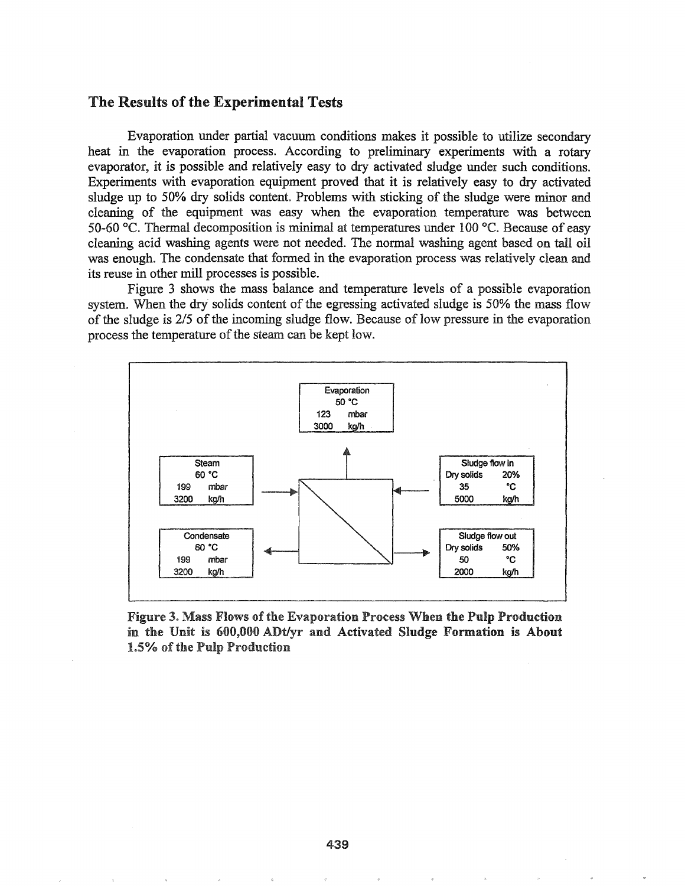#### The Results of the Experimental Tests

Evaporation under partial vacuum conditions makes it possible to utilize secondary heat in the evaporation process. According to preliminary experiments with a rotary evaporator, it is possible and relatively easy to dry activated sludge under such conditions. Experiments with evaporation equipment proved that it is relatively easy to dry activated sludge up to 50% dry solids content. Problems with sticking of the sludge were minor and cleaning of the equipment was easy when the evaporation temperature was between 50-60 °C. Thermal decomposition is minimal at temperatures under 100 °C. Because of easy cleaning acid washing agents were not needed. The normal washing agent based on tall oil was enough. The condensate that formed in the evaporation process was relatively clean and its reuse in other mill processes is possible.

Figure 3 shows the mass balance and temperature levels of a possible evaporation system. When the dry solids content of the egressing activated sludge is 50% the mass flow of the sludge is 2/5 of the incoming sludge flow. Because of low pressure in the evaporation process the temperature of the steam can be kept low.



Figure 3. Mass Flows of the Evaporation Process When the Pulp Production in the Unit is 600,000 *ADt/yr* and Activated Sludge Formation is About 1.5% of the Pulp Production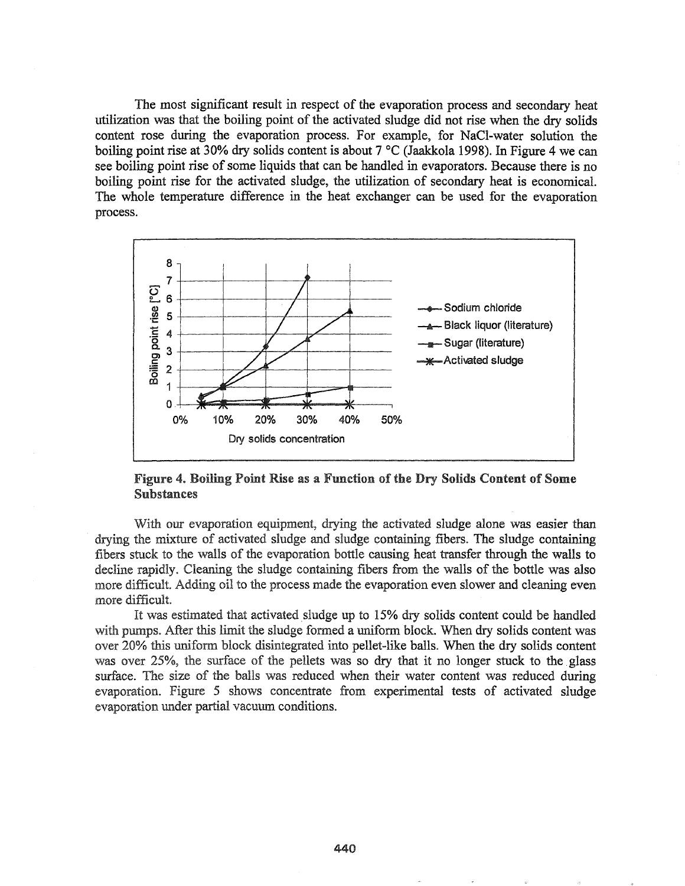The most significant result in respect of the evaporation process and secondary heat utilization was that the boiling point of the activated sludge did not rise when the dry solids content rose during the evaporation process. For example, for NaCl-water solution the boiling point rise at 30% dry solids content is about 7 °C (Jaakkola 1998). In Figure 4 we can see boiling point rise of some liquids that can be handled in evaporators. Because there is no boiling point rise for the activated sludge, the utilization of secondary heat is economical. The whole temperature difference in the heat exchanger can be used for the evaporation process.



Figure 4. Boiling Point Rise as a Function of the Dry Solids Content of Some Substances

With our evaporation equipment, drying the activated sludge alone was easier than drying the mixture of activated sludge and sludge containing fibers. The sludge containing fibers stuck to the walls of the evaporation bottle causing heat transfer through the walls to decline rapidly. Cleaning the sludge containing fibers from the walls of the bottle was also more difficult. Adding oil to the process made the evaporation even slower and cleaning even more difficult.

It was estimated that activated sludge up to 15% dry solids content could be handled with pumps. After this limit the sludge formed a uniform block. When dry solids content was over 20% this uniform block disintegrated into pellet-like balls. When the dry solids content was over 25%, the surface of the pellets was so dry that it no longer stuck to the glass surface. The size of the balls was reduced when their water content was reduced during evaporation. Figure 5 shows concentrate from experimental tests of activated sludge evaporation under partial vacuum conditions.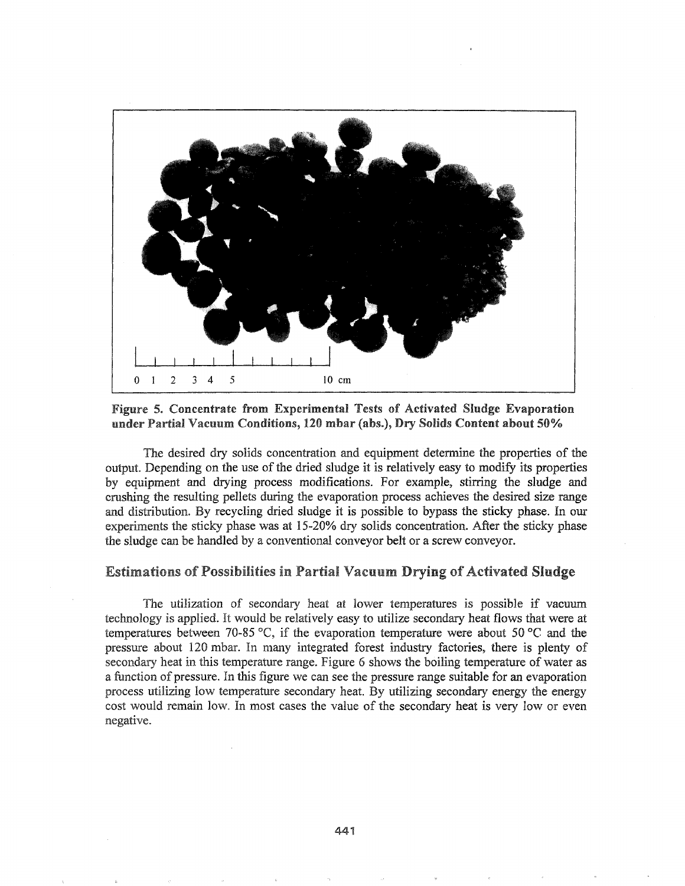

Figure 5. Concentrate from Experimental Tests of Activated Sludge Evaporation under Partial Vacuum Conditions, 120 mbar (abs.), Dry Solids Content about 50%

The desired dry solids concentration and equipment determine the properties of the output. Depending on the use of the dried sludge it is relatively easy to modify its properties by equipment and drying process modifications. For example, stirring the sludge and crushing the resulting pellets during the evaporation process achieves the desired size range and distribution. By recycling dried sludge it is possible to bypass the sticky phase. In our experiments the sticky phase was at 15-20% dry solids concentration. After the sticky phase the sludge can be handled by a conventional conveyor belt or a screw conveyor.

#### **Estimations of Possibilities in Partial Vacuum Drying of Activated Sludge**

The utilization of secondary heat at lower temperatures is possible if vacuum technology is applied. It would be relatively easy to utilize secondary heat flows that were at temperatures between 70-85 °C, if the evaporation temperature were about 50 °C and the pressure about 120 mbar. In many integrated forest industry factories, there is plenty of secondary heat in this temperature range. Figure 6 shows the boiling temperature of water as a function of pressure. In this figure we can see the pressure range suitable for an evaporation process utilizing low temperature secondary heat. By utilizing secondary energy the energy cost would remain low. In most cases the value of the secondary heat is very low or even negative.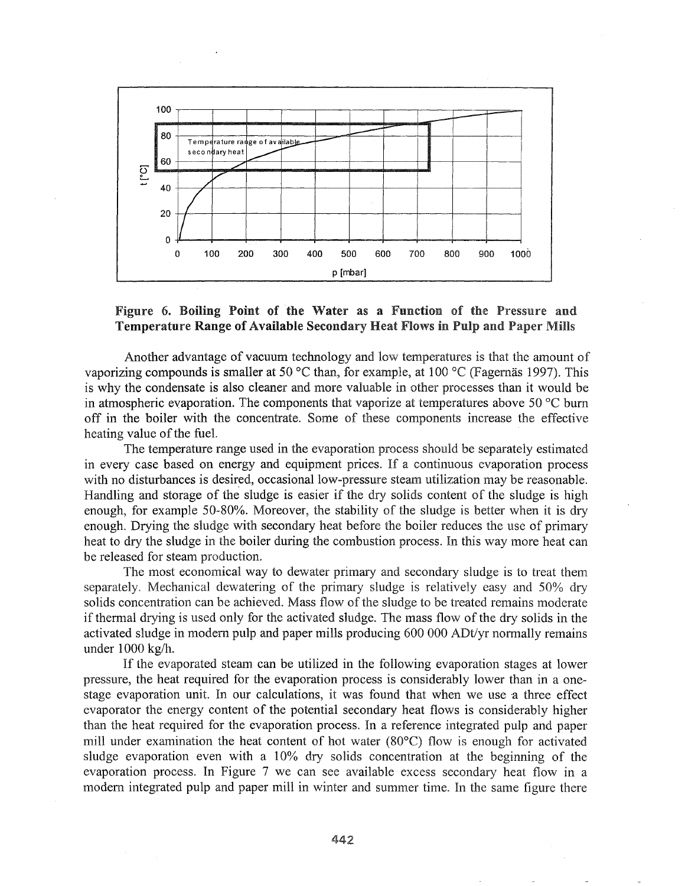

#### Figure 6. Boiling Point of the Water as a Function of the Pressure and Temperature Range of Available Secondary Heat Flows in Pulp and Paper Mills

Another advantage of vacuum technology and low temperatures is that the amount of vaporizing compounds is smaller at 50 °C than, for example, at 100 °C (Fagernäs 1997). This is why the condensate is also cleaner and more valuable in other processes than it would be in atmospheric evaporation. The components that vaporize at temperatures above 50  $\degree$ C burn off in the boiler with the concentrate. Some of these components increase the effective heating value of the fuel.

The temperature range used in the evaporation process should be separately estimated in every case based on energy and equipment prices. If a continuous evaporation process with no disturbances is desired, occasional low-pressure steam utilization may be reasonable. Handling and storage of the sludge is easier if the dry solids content of the sludge is high enough, for example 50-80%. Moreover, the stability of the sludge is better when it is dry enough. Drying the sludge with secondary heat before the boiler reduces the use of primary heat to dry the sludge in the boiler during the combustion process. In this way more heat can be released for steam production.

The most economical way to dewater primary and secondary sludge is to treat them separately. Mechanical dewatering of the primary sludge is relatively easy and 50% dry solids concentration can be achieved. Mass flow of the sludge to be treated remains moderate if thermal drying is used only for the activated sludge. The mass flow of the dry solids in the activated sludge in modern pulp and paper mills producing 600 000 ADt/yr normally remains under  $1000$  kg/h.

If the evaporated steam can be utilized in the following evaporation stages at lower pressure, the heat required for the evaporation process is considerably lower than in a onestage evaporation unit. In our calculations, it was found that when we use a three effect evaporator the energy content of the potential secondary heat flows is considerably higher than the heat required for the evaporation process. In a reference integrated pulp and paper mill under examination the heat content of hot water (80°C) flow is enough for activated sludge evaporation even with a 10% dry solids concentration at the beginning of the evaporation process. In Figure 7 we can see available excess secondary heat flow in a modern integrated pulp and paper mill in winter and summer time. In the same figure there